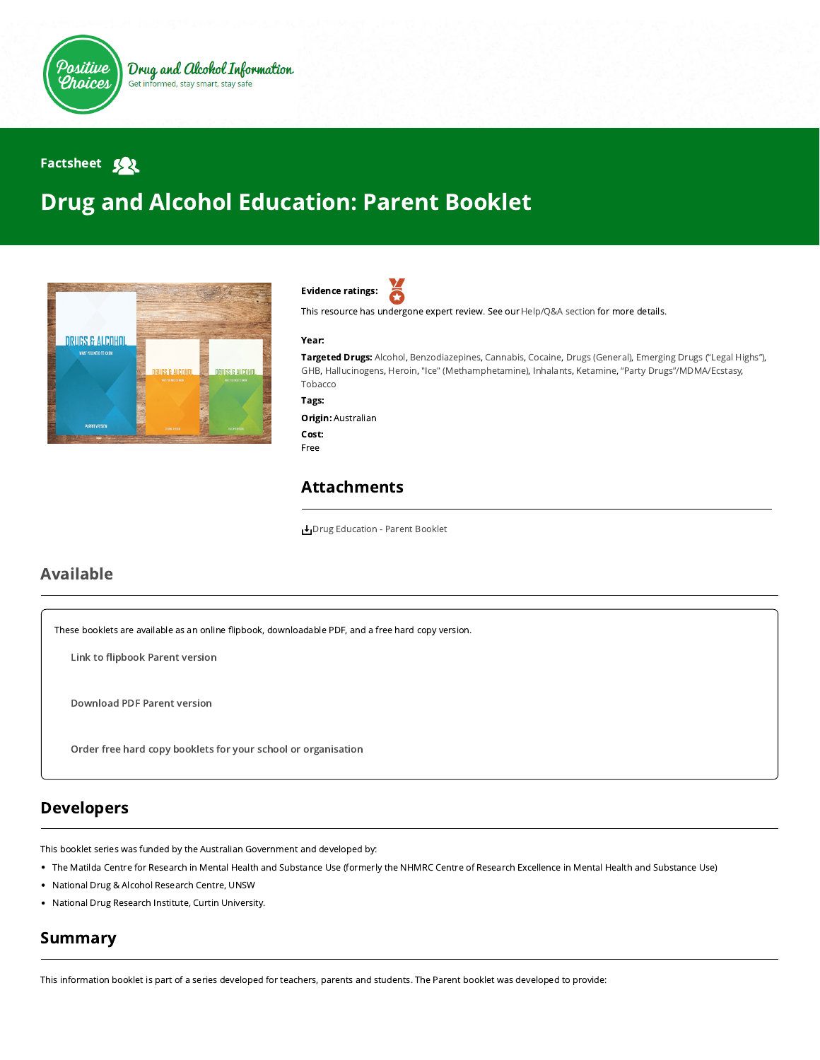

## Factsheet 32

# Drug and Alcohol Education: Parent Booklet





This resource has undergone expert review. See our [Help/Q&A section](https://positivechoices.org.au/help/questions-and-answers/) for more details.

#### Year:

Targeted Drugs: Alcohol, Benzodiazepines, Cannabis, Cocaine, Drugs (General), Emerging Drugs ("Legal Highs"), GHB, Hallucinogens, Heroin, "Ice" (Methamphetamine), Inhalants, Ketamine, "Party Drugs"/MDMA/Ecstasy, Tobacco

Tags:

Origin: Australian Cost: Free

#### Attachments

[Drug Education - Parent Booklet](https://positivechoices.org.au/documents/uCyLezcONR/drug-education---parent-booklet/)

#### Available

These booklets are available as an online flipbook, downloadable PDF, and a free hard copy version.

Link to fl[ipbook](https://positivechoices.org.au/pdf/drug-education-booklets/Drug%20Education%20Parent%20Booklet/index.html) Parent version

[Download](https://positivechoices.org.au/documents/uCyLezcONR/drug-education---parent-booklet/) PDF Parent version

Order free hard copy booklets for your school or [organisation](https://positivechoices.org.au/order/booklet)

#### Developers

This booklet series was funded by the Australian Government and developed by:

- The Matilda Centre for Research in Mental Health and Substance Use (formerly the NHMRC Centre of Research Excellence in Mental Health and Substance Use)
- National Drug & Alcohol Research Centre, UNSW
- National Drug Research Institute, Curtin University.

# Summary

This information booklet is part of a series developed for teachers, parents and students. The Parent booklet was developed to provide: